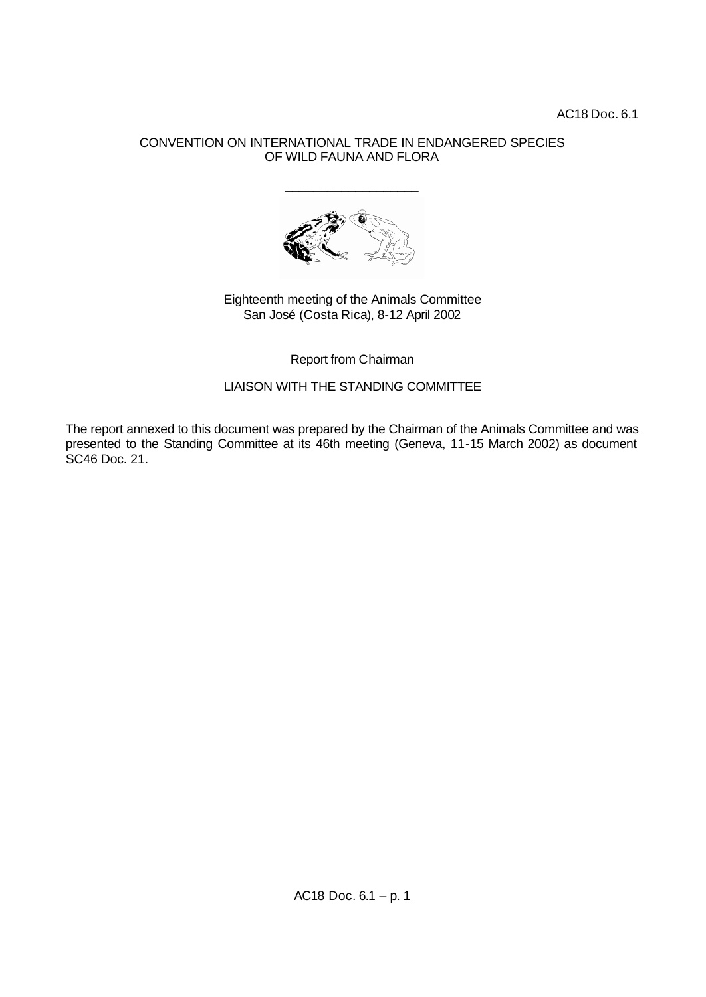AC18 Doc. 6.1

## CONVENTION ON INTERNATIONAL TRADE IN ENDANGERED SPECIES OF WILD FAUNA AND FLORA

\_\_\_\_\_\_\_\_\_\_\_\_\_\_\_\_\_\_\_



## Eighteenth meeting of the Animals Committee San José (Costa Rica), 8-12 April 2002

Report from Chairman

LIAISON WITH THE STANDING COMMITTEE

The report annexed to this document was prepared by the Chairman of the Animals Committee and was presented to the Standing Committee at its 46th meeting (Geneva, 11-15 March 2002) as document SC46 Doc. 21.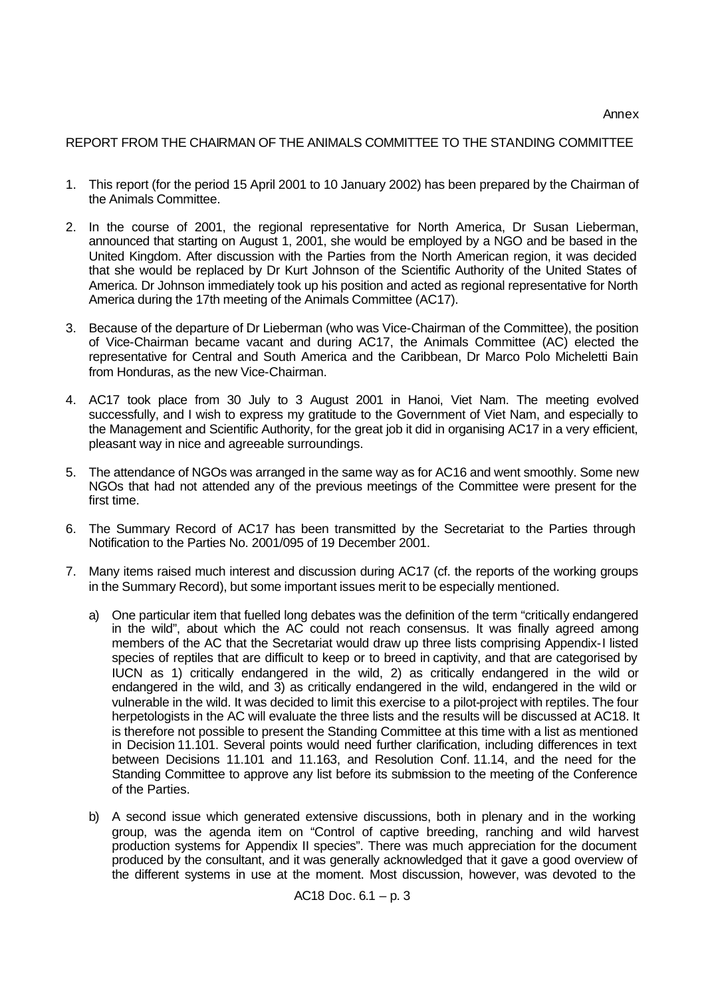## REPORT FROM THE CHAIRMAN OF THE ANIMALS COMMITTEE TO THE STANDING COMMITTEE

- 1. This report (for the period 15 April 2001 to 10 January 2002) has been prepared by the Chairman of the Animals Committee.
- 2. In the course of 2001, the regional representative for North America, Dr Susan Lieberman, announced that starting on August 1, 2001, she would be employed by a NGO and be based in the United Kingdom. After discussion with the Parties from the North American region, it was decided that she would be replaced by Dr Kurt Johnson of the Scientific Authority of the United States of America. Dr Johnson immediately took up his position and acted as regional representative for North America during the 17th meeting of the Animals Committee (AC17).
- 3. Because of the departure of Dr Lieberman (who was Vice-Chairman of the Committee), the position of Vice-Chairman became vacant and during AC17, the Animals Committee (AC) elected the representative for Central and South America and the Caribbean, Dr Marco Polo Micheletti Bain from Honduras, as the new Vice-Chairman.
- 4. AC17 took place from 30 July to 3 August 2001 in Hanoi, Viet Nam. The meeting evolved successfully, and I wish to express my gratitude to the Government of Viet Nam, and especially to the Management and Scientific Authority, for the great job it did in organising AC17 in a very efficient, pleasant way in nice and agreeable surroundings.
- 5. The attendance of NGOs was arranged in the same way as for AC16 and went smoothly. Some new NGOs that had not attended any of the previous meetings of the Committee were present for the first time.
- 6. The Summary Record of AC17 has been transmitted by the Secretariat to the Parties through Notification to the Parties No. 2001/095 of 19 December 2001.
- 7. Many items raised much interest and discussion during AC17 (cf. the reports of the working groups in the Summary Record), but some important issues merit to be especially mentioned.
	- a) One particular item that fuelled long debates was the definition of the term "critically endangered in the wild", about which the AC could not reach consensus. It was finally agreed among members of the AC that the Secretariat would draw up three lists comprising Appendix-I listed species of reptiles that are difficult to keep or to breed in captivity, and that are categorised by IUCN as 1) critically endangered in the wild, 2) as critically endangered in the wild or endangered in the wild, and 3) as critically endangered in the wild, endangered in the wild or vulnerable in the wild. It was decided to limit this exercise to a pilot-project with reptiles. The four herpetologists in the AC will evaluate the three lists and the results will be discussed at AC18. It is therefore not possible to present the Standing Committee at this time with a list as mentioned in Decision 11.101. Several points would need further clarification, including differences in text between Decisions 11.101 and 11.163, and Resolution Conf. 11.14, and the need for the Standing Committee to approve any list before its submission to the meeting of the Conference of the Parties.
	- b) A second issue which generated extensive discussions, both in plenary and in the working group, was the agenda item on "Control of captive breeding, ranching and wild harvest production systems for Appendix II species". There was much appreciation for the document produced by the consultant, and it was generally acknowledged that it gave a good overview of the different systems in use at the moment. Most discussion, however, was devoted to the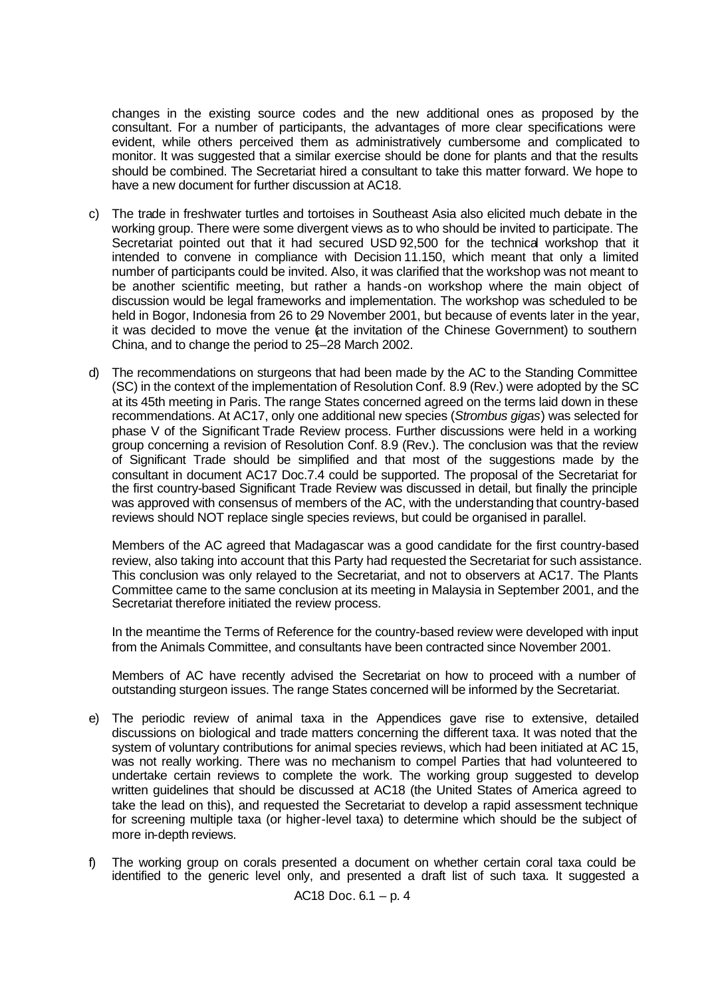changes in the existing source codes and the new additional ones as proposed by the consultant. For a number of participants, the advantages of more clear specifications were evident, while others perceived them as administratively cumbersome and complicated to monitor. It was suggested that a similar exercise should be done for plants and that the results should be combined. The Secretariat hired a consultant to take this matter forward. We hope to have a new document for further discussion at AC18.

- c) The trade in freshwater turtles and tortoises in Southeast Asia also elicited much debate in the working group. There were some divergent views as to who should be invited to participate. The Secretariat pointed out that it had secured USD 92,500 for the technical workshop that it intended to convene in compliance with Decision 11.150, which meant that only a limited number of participants could be invited. Also, it was clarified that the workshop was not meant to be another scientific meeting, but rather a hands-on workshop where the main object of discussion would be legal frameworks and implementation. The workshop was scheduled to be held in Bogor, Indonesia from 26 to 29 November 2001, but because of events later in the year, it was decided to move the venue (at the invitation of the Chinese Government) to southern China, and to change the period to 25–28 March 2002.
- d) The recommendations on sturgeons that had been made by the AC to the Standing Committee (SC) in the context of the implementation of Resolution Conf. 8.9 (Rev.) were adopted by the SC at its 45th meeting in Paris. The range States concerned agreed on the terms laid down in these recommendations. At AC17, only one additional new species (*Strombus gigas*) was selected for phase V of the Significant Trade Review process. Further discussions were held in a working group concerning a revision of Resolution Conf. 8.9 (Rev.). The conclusion was that the review of Significant Trade should be simplified and that most of the suggestions made by the consultant in document AC17 Doc.7.4 could be supported. The proposal of the Secretariat for the first country-based Significant Trade Review was discussed in detail, but finally the principle was approved with consensus of members of the AC, with the understanding that country-based reviews should NOT replace single species reviews, but could be organised in parallel.

Members of the AC agreed that Madagascar was a good candidate for the first country-based review, also taking into account that this Party had requested the Secretariat for such assistance. This conclusion was only relayed to the Secretariat, and not to observers at AC17. The Plants Committee came to the same conclusion at its meeting in Malaysia in September 2001, and the Secretariat therefore initiated the review process.

In the meantime the Terms of Reference for the country-based review were developed with input from the Animals Committee, and consultants have been contracted since November 2001.

Members of AC have recently advised the Secretariat on how to proceed with a number of outstanding sturgeon issues. The range States concerned will be informed by the Secretariat.

- e) The periodic review of animal taxa in the Appendices gave rise to extensive, detailed discussions on biological and trade matters concerning the different taxa. It was noted that the system of voluntary contributions for animal species reviews, which had been initiated at AC 15, was not really working. There was no mechanism to compel Parties that had volunteered to undertake certain reviews to complete the work. The working group suggested to develop written guidelines that should be discussed at AC18 (the United States of America agreed to take the lead on this), and requested the Secretariat to develop a rapid assessment technique for screening multiple taxa (or higher-level taxa) to determine which should be the subject of more in-depth reviews.
- f) The working group on corals presented a document on whether certain coral taxa could be identified to the generic level only, and presented a draft list of such taxa. It suggested a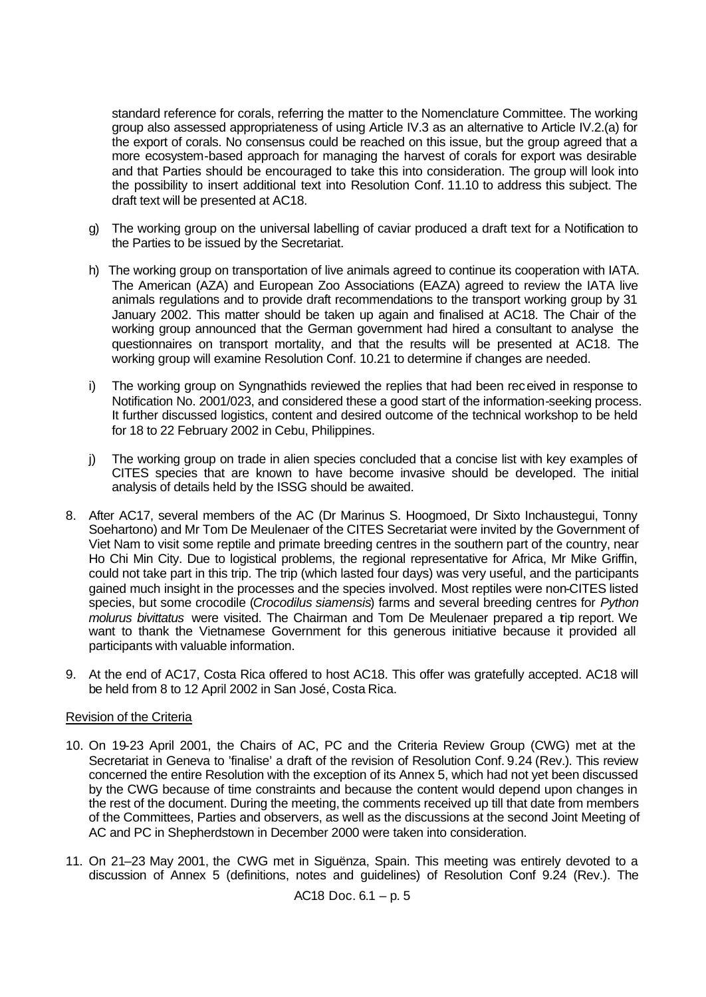standard reference for corals, referring the matter to the Nomenclature Committee. The working group also assessed appropriateness of using Article IV.3 as an alternative to Article IV.2.(a) for the export of corals. No consensus could be reached on this issue, but the group agreed that a more ecosystem-based approach for managing the harvest of corals for export was desirable and that Parties should be encouraged to take this into consideration. The group will look into the possibility to insert additional text into Resolution Conf. 11.10 to address this subject. The draft text will be presented at AC18.

- g) The working group on the universal labelling of caviar produced a draft text for a Notification to the Parties to be issued by the Secretariat.
- h) The working group on transportation of live animals agreed to continue its cooperation with IATA. The American (AZA) and European Zoo Associations (EAZA) agreed to review the IATA live animals regulations and to provide draft recommendations to the transport working group by 31 January 2002. This matter should be taken up again and finalised at AC18. The Chair of the working group announced that the German government had hired a consultant to analyse the questionnaires on transport mortality, and that the results will be presented at AC18. The working group will examine Resolution Conf. 10.21 to determine if changes are needed.
- i) The working group on Syngnathids reviewed the replies that had been received in response to Notification No. 2001/023, and considered these a good start of the information-seeking process. It further discussed logistics, content and desired outcome of the technical workshop to be held for 18 to 22 February 2002 in Cebu, Philippines.
- j) The working group on trade in alien species concluded that a concise list with key examples of CITES species that are known to have become invasive should be developed. The initial analysis of details held by the ISSG should be awaited.
- 8. After AC17, several members of the AC (Dr Marinus S. Hoogmoed, Dr Sixto Inchaustegui, Tonny Soehartono) and Mr Tom De Meulenaer of the CITES Secretariat were invited by the Government of Viet Nam to visit some reptile and primate breeding centres in the southern part of the country, near Ho Chi Min City. Due to logistical problems, the regional representative for Africa, Mr Mike Griffin, could not take part in this trip. The trip (which lasted four days) was very useful, and the participants gained much insight in the processes and the species involved. Most reptiles were non-CITES listed species, but some crocodile (*Crocodilus siamensis*) farms and several breeding centres for *Python molurus bivittatus* were visited. The Chairman and Tom De Meulenaer prepared a trip report. We want to thank the Vietnamese Government for this generous initiative because it provided all participants with valuable information.
- 9. At the end of AC17, Costa Rica offered to host AC18. This offer was gratefully accepted. AC18 will be held from 8 to 12 April 2002 in San José, Costa Rica.

## Revision of the Criteria

- 10. On 19-23 April 2001, the Chairs of AC, PC and the Criteria Review Group (CWG) met at the Secretariat in Geneva to 'finalise' a draft of the revision of Resolution Conf. 9.24 (Rev.). This review concerned the entire Resolution with the exception of its Annex 5, which had not yet been discussed by the CWG because of time constraints and because the content would depend upon changes in the rest of the document. During the meeting, the comments received up till that date from members of the Committees, Parties and observers, as well as the discussions at the second Joint Meeting of AC and PC in Shepherdstown in December 2000 were taken into consideration.
- 11. On 21–23 May 2001, the CWG met in Siguënza, Spain. This meeting was entirely devoted to a discussion of Annex 5 (definitions, notes and guidelines) of Resolution Conf 9.24 (Rev.). The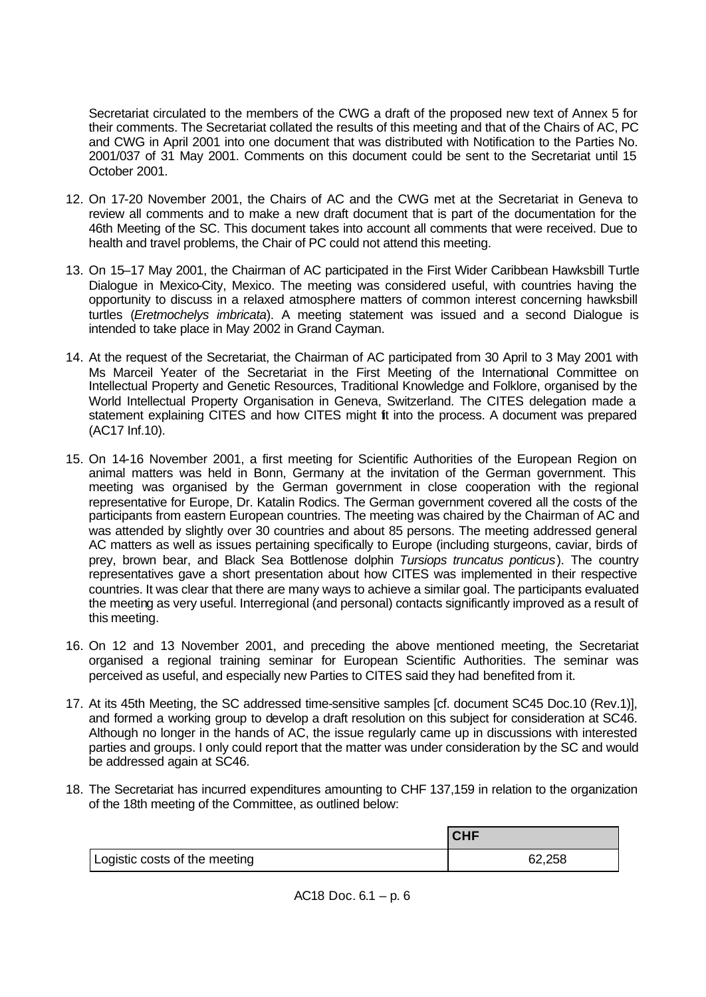Secretariat circulated to the members of the CWG a draft of the proposed new text of Annex 5 for their comments. The Secretariat collated the results of this meeting and that of the Chairs of AC, PC and CWG in April 2001 into one document that was distributed with Notification to the Parties No. 2001/037 of 31 May 2001. Comments on this document could be sent to the Secretariat until 15 October 2001.

- 12. On 17-20 November 2001, the Chairs of AC and the CWG met at the Secretariat in Geneva to review all comments and to make a new draft document that is part of the documentation for the 46th Meeting of the SC. This document takes into account all comments that were received. Due to health and travel problems, the Chair of PC could not attend this meeting.
- 13. On 15–17 May 2001, the Chairman of AC participated in the First Wider Caribbean Hawksbill Turtle Dialogue in Mexico-City, Mexico. The meeting was considered useful, with countries having the opportunity to discuss in a relaxed atmosphere matters of common interest concerning hawksbill turtles (*Eretmochelys imbricata*). A meeting statement was issued and a second Dialogue is intended to take place in May 2002 in Grand Cayman.
- 14. At the request of the Secretariat, the Chairman of AC participated from 30 April to 3 May 2001 with Ms Marceil Yeater of the Secretariat in the First Meeting of the International Committee on Intellectual Property and Genetic Resources, Traditional Knowledge and Folklore, organised by the World Intellectual Property Organisation in Geneva, Switzerland. The CITES delegation made a statement explaining CITES and how CITES might fit into the process. A document was prepared (AC17 Inf.10).
- 15. On 14-16 November 2001, a first meeting for Scientific Authorities of the European Region on animal matters was held in Bonn, Germany at the invitation of the German government. This meeting was organised by the German government in close cooperation with the regional representative for Europe, Dr. Katalin Rodics. The German government covered all the costs of the participants from eastern European countries. The meeting was chaired by the Chairman of AC and was attended by slightly over 30 countries and about 85 persons. The meeting addressed general AC matters as well as issues pertaining specifically to Europe (including sturgeons, caviar, birds of prey, brown bear, and Black Sea Bottlenose dolphin *Tursiops truncatus ponticus*). The country representatives gave a short presentation about how CITES was implemented in their respective countries. It was clear that there are many ways to achieve a similar goal. The participants evaluated the meeting as very useful. Interregional (and personal) contacts significantly improved as a result of this meeting.
- 16. On 12 and 13 November 2001, and preceding the above mentioned meeting, the Secretariat organised a regional training seminar for European Scientific Authorities. The seminar was perceived as useful, and especially new Parties to CITES said they had benefited from it.
- 17. At its 45th Meeting, the SC addressed time-sensitive samples [cf. document SC45 Doc.10 (Rev.1)], and formed a working group to develop a draft resolution on this subject for consideration at SC46. Although no longer in the hands of AC, the issue regularly came up in discussions with interested parties and groups. I only could report that the matter was under consideration by the SC and would be addressed again at SC46.
- 18. The Secretariat has incurred expenditures amounting to CHF 137,159 in relation to the organization of the 18th meeting of the Committee, as outlined below:

|                               | <b>CHF</b> |
|-------------------------------|------------|
| Logistic costs of the meeting | 62,258     |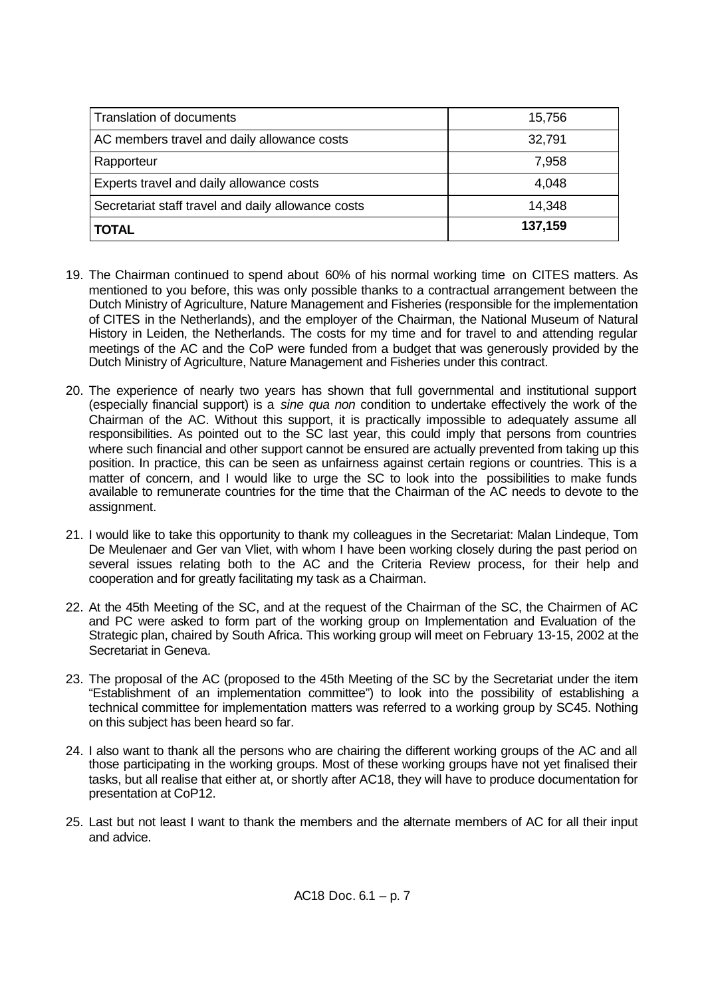| Translation of documents                           | 15,756  |
|----------------------------------------------------|---------|
| AC members travel and daily allowance costs        | 32,791  |
| Rapporteur                                         | 7,958   |
| <b>Experts travel and daily allowance costs</b>    | 4,048   |
| Secretariat staff travel and daily allowance costs | 14,348  |
| <b>TOTAL</b>                                       | 137,159 |

- 19. The Chairman continued to spend about 60% of his normal working time on CITES matters. As mentioned to you before, this was only possible thanks to a contractual arrangement between the Dutch Ministry of Agriculture, Nature Management and Fisheries (responsible for the implementation of CITES in the Netherlands), and the employer of the Chairman, the National Museum of Natural History in Leiden, the Netherlands. The costs for my time and for travel to and attending regular meetings of the AC and the CoP were funded from a budget that was generously provided by the Dutch Ministry of Agriculture, Nature Management and Fisheries under this contract.
- 20. The experience of nearly two years has shown that full governmental and institutional support (especially financial support) is a *sine qua non* condition to undertake effectively the work of the Chairman of the AC. Without this support, it is practically impossible to adequately assume all responsibilities. As pointed out to the SC last year, this could imply that persons from countries where such financial and other support cannot be ensured are actually prevented from taking up this position. In practice, this can be seen as unfairness against certain regions or countries. This is a matter of concern, and I would like to urge the SC to look into the possibilities to make funds available to remunerate countries for the time that the Chairman of the AC needs to devote to the assignment.
- 21. I would like to take this opportunity to thank my colleagues in the Secretariat: Malan Lindeque, Tom De Meulenaer and Ger van Vliet, with whom I have been working closely during the past period on several issues relating both to the AC and the Criteria Review process, for their help and cooperation and for greatly facilitating my task as a Chairman.
- 22. At the 45th Meeting of the SC, and at the request of the Chairman of the SC, the Chairmen of AC and PC were asked to form part of the working group on Implementation and Evaluation of the Strategic plan, chaired by South Africa. This working group will meet on February 13-15, 2002 at the Secretariat in Geneva.
- 23. The proposal of the AC (proposed to the 45th Meeting of the SC by the Secretariat under the item "Establishment of an implementation committee") to look into the possibility of establishing a technical committee for implementation matters was referred to a working group by SC45. Nothing on this subject has been heard so far.
- 24. I also want to thank all the persons who are chairing the different working groups of the AC and all those participating in the working groups. Most of these working groups have not yet finalised their tasks, but all realise that either at, or shortly after AC18, they will have to produce documentation for presentation at CoP12.
- 25. Last but not least I want to thank the members and the alternate members of AC for all their input and advice.